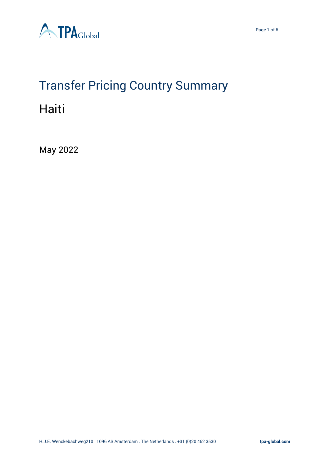

# Transfer Pricing Country Summary Haiti

May 2022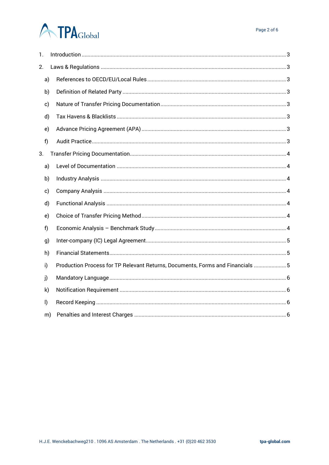# **ATPA**Global

| 1.           |    |                                                                                |
|--------------|----|--------------------------------------------------------------------------------|
| 2.           |    |                                                                                |
|              | a) |                                                                                |
|              | b) |                                                                                |
|              | c) |                                                                                |
|              | d) |                                                                                |
|              | e) |                                                                                |
| f)           |    |                                                                                |
| 3.           |    |                                                                                |
|              | a) |                                                                                |
|              | b) |                                                                                |
|              | c) |                                                                                |
|              | d) |                                                                                |
|              | e) |                                                                                |
| f)           |    |                                                                                |
|              | g) |                                                                                |
|              | h) |                                                                                |
| i)           |    | Production Process for TP Relevant Returns, Documents, Forms and Financials  5 |
| j)           |    |                                                                                |
|              | k) |                                                                                |
| $\mathsf{I}$ |    |                                                                                |
|              | m) |                                                                                |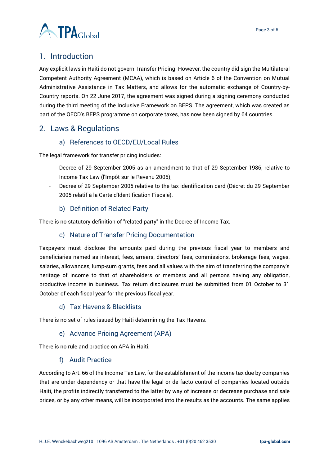

# <span id="page-2-0"></span>1. Introduction

Any explicit laws in Haiti do not govern Transfer Pricing. However, the country did sign the Multilateral Competent Authority Agreement (MCAA), which is based on Article 6 of the Convention on Mutual Administrative Assistance in Tax Matters, and allows for the automatic exchange of Country-by-Country reports. On 22 June 2017, the agreement was signed during a signing ceremony conducted during the third meeting of the Inclusive Framework on BEPS. The agreement, which was created as part of the OECD's BEPS programme on corporate taxes, has now been signed by 64 countries.

# <span id="page-2-2"></span><span id="page-2-1"></span>2. Laws & Regulations

# a) References to OECD/EU/Local Rules

The legal framework for transfer pricing includes:

- Decree of 29 September 2005 as an amendment to that of 29 September 1986, relative to Income Tax Law (l'Impôt sur le Revenu 2005);
- Decree of 29 September 2005 relative to the tax identification card (Décret du 29 September 2005 relatif à la Carte d'Identification Fiscale).

#### b) Definition of Related Party

<span id="page-2-4"></span><span id="page-2-3"></span>There is no statutory definition of "related party" in the Decree of Income Tax.

#### c) Nature of Transfer Pricing Documentation

Taxpayers must disclose the amounts paid during the previous fiscal year to members and beneficiaries named as interest, fees, arrears, directors' fees, commissions, brokerage fees, wages, salaries, allowances, lump-sum grants, fees and all values with the aim of transferring the company's heritage of income to that of shareholders or members and all persons having any obligation, productive income in business. Tax return disclosures must be submitted from 01 October to 31 October of each fiscal year for the previous fiscal year.

#### d) Tax Havens & Blacklists

<span id="page-2-6"></span><span id="page-2-5"></span>There is no set of rules issued by Haiti determining the Tax Havens.

#### e) Advance Pricing Agreement (APA)

<span id="page-2-7"></span>There is no rule and practice on APA in Haiti.

#### f) Audit Practice

According to Art. 66 of the Income Tax Law, for the establishment of the income tax due by companies that are under dependency or that have the legal or de facto control of companies located outside Haiti, the profits indirectly transferred to the latter by way of increase or decrease purchase and sale prices, or by any other means, will be incorporated into the results as the accounts. The same applies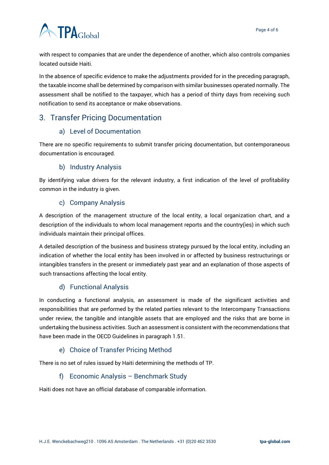

with respect to companies that are under the dependence of another, which also controls companies located outside Haiti.

In the absence of specific evidence to make the adjustments provided for in the preceding paragraph, the taxable income shall be determined by comparison with similar businesses operated normally. The assessment shall be notified to the taxpayer, which has a period of thirty days from receiving such notification to send its acceptance or make observations.

# <span id="page-3-1"></span><span id="page-3-0"></span>3. Transfer Pricing Documentation

#### a) Level of Documentation

There are no specific requirements to submit transfer pricing documentation, but contemporaneous documentation is encouraged.

#### b) Industry Analysis

<span id="page-3-2"></span>By identifying value drivers for the relevant industry, a first indication of the level of profitability common in the industry is given.

#### c) Company Analysis

<span id="page-3-3"></span>A description of the management structure of the local entity, a local organization chart, and a description of the individuals to whom local management reports and the country(ies) in which such individuals maintain their principal offices.

A detailed description of the business and business strategy pursued by the local entity, including an indication of whether the local entity has been involved in or affected by business restructurings or intangibles transfers in the present or immediately past year and an explanation of those aspects of such transactions affecting the local entity.

#### d) Functional Analysis

<span id="page-3-4"></span>In conducting a functional analysis, an assessment is made of the significant activities and responsibilities that are performed by the related parties relevant to the Intercompany Transactions under review, the tangible and intangible assets that are employed and the risks that are borne in undertaking the business activities. Such an assessment is consistent with the recommendations that have been made in the OECD Guidelines in paragraph 1.51.

#### e) Choice of Transfer Pricing Method

<span id="page-3-6"></span><span id="page-3-5"></span>There is no set of rules issued by Haiti determining the methods of TP.

#### f) Economic Analysis – Benchmark Study

Haiti does not have an official database of comparable information.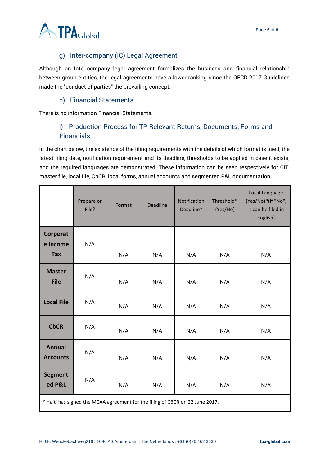

# g) Inter-company (IC) Legal Agreement

<span id="page-4-0"></span>Although an Inter-company legal agreement formalizes the business and financial relationship between group entities, the legal agreements have a lower ranking since the OECD 2017 Guidelines made the "conduct of parties" the prevailing concept.

#### h) Financial Statements

<span id="page-4-2"></span><span id="page-4-1"></span>There is no information Financial Statements.

# i) Production Process for TP Relevant Returns, Documents, Forms and **Financials**

In the chart below, the existence of the filing requirements with the details of which format is used, the latest filing date, notification requirement and its deadline, thresholds to be applied in case it exists, and the required languages are demonstrated. These information can be seen respectively for CIT, master file, local file, CbCR, local forms, annual accounts and segmented P&L documentation.

|                                                                               | Prepare or<br>File? | Format | <b>Deadline</b> | Notification<br>Deadline* | Threshold*<br>(Yes/No) | Local Language<br>(Yes/No)*(If "No",<br>it can be filed in<br>English) |  |  |
|-------------------------------------------------------------------------------|---------------------|--------|-----------------|---------------------------|------------------------|------------------------------------------------------------------------|--|--|
| Corporat                                                                      |                     |        |                 |                           |                        |                                                                        |  |  |
| e Income<br><b>Tax</b>                                                        | N/A                 | N/A    | N/A             | N/A                       | N/A                    | N/A                                                                    |  |  |
| <b>Master</b><br><b>File</b>                                                  | N/A                 | N/A    | N/A             | N/A                       | N/A                    | N/A                                                                    |  |  |
| <b>Local File</b>                                                             | N/A                 | N/A    | N/A             | N/A                       | N/A                    | N/A                                                                    |  |  |
| <b>CbCR</b>                                                                   | N/A                 | N/A    | N/A             | N/A                       | N/A                    | N/A                                                                    |  |  |
| <b>Annual</b><br><b>Accounts</b>                                              | N/A                 | N/A    | N/A             | N/A                       | N/A                    | N/A                                                                    |  |  |
| <b>Segment</b><br>ed P&L                                                      | N/A                 | N/A    | N/A             | N/A                       | N/A                    | N/A                                                                    |  |  |
| * Haiti has signed the MCAA agreement for the filing of CBCR on 22 June 2017. |                     |        |                 |                           |                        |                                                                        |  |  |